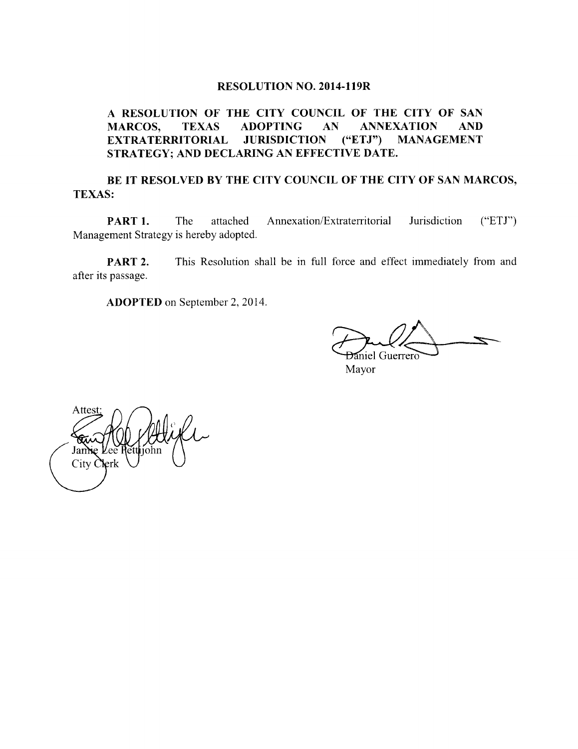#### RESOLUTION NO. 2014-119R

## A RESOLUTION OF THE CITY COUNCIL OF THE CITY OF SAN MARCOS, TEXAS ADOPTING AN ANNEXATION AND EXTRATERRITORIAL JURISDICTION ("ETJ") MANAGEMENT STRATEGY; AND DECLARING AN EFFECTIVE DATE.

## BE IT RESOLVED BY THE CITY COUNCIL OF THE CITY OF SAN MARCOS, TEXAS:

PART 1. The attached Annexation/Extraterritorial Jurisdiction ("ETJ") Management Strategy is hereby adopted.

**PART 2.** This Resolution shall be in full force and effect immediately from and after its passage.

ADOPTED on September 2, 2014.

Daniel Guerrero

Mayor

Attest Jan **l**erk City C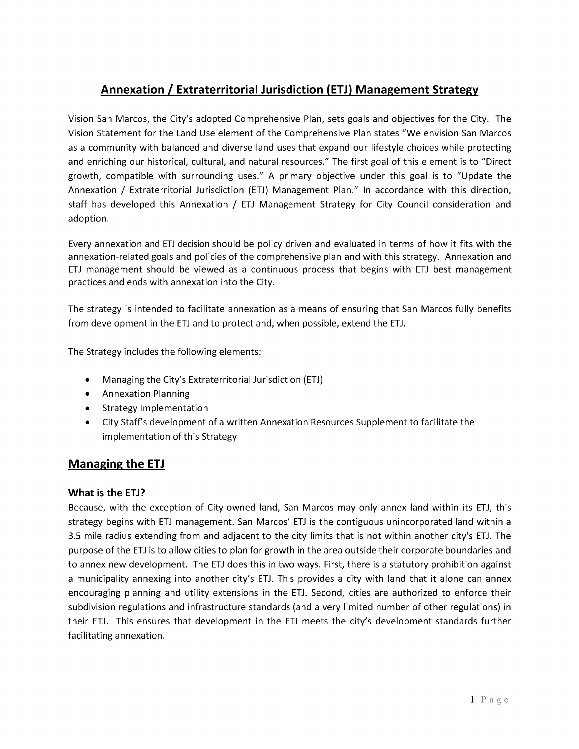# Annexation / Extraterritorial Jurisdiction (ETJ) Management Strategy

Vision San Marcos, the City' <sup>s</sup> adopted Comprehensive Plan, sets goals and objectives for the City. The Vision Statement for the Land Use element of the Comprehensive Plan states " We envision San Marcos as <sup>a</sup> community with balanced and diverse land uses that expand our lifestyle choices while protecting and enriching our historical, cultural, and natural resources." The first goal of this element is to " Direct growth, compatible with surrounding uses." A primary objective under this goal is to " Update the Annexation / Extraterritorial Jurisdiction (ETJ) Management Plan." In accordance with this direction, staff has developed this Annexation / ETJ Management Strategy for City Council consideration and adoption.

Every annexation and ETJ decision should be policy driven and evaluated in terms of how it fits with the annexation-related goals and policies of the comprehensive plan and with this strategy. Annexation and ETJ management should be viewed as <sup>a</sup> continuous process that begins with ETJ best management practices and ends with annexation into the City.

The strategy is intended to facilitate annexation as <sup>a</sup> means of ensuring that San Marcos fully benefits from development in the ETJ and to protect and, when possible, extend the ETJ.

The Strategy includes the following elements:

- Managing the City's Extraterritorial Jurisdiction (ETJ)
- Annexation Planning
- **•** Strategy Implementation
- City Staff's development of a written Annexation Resources Supplement to facilitate the implementation of this Strategy

## Managing the ETJ

#### What is the ETJ?

Because, with the exception of City-owned land, San Marcos may only annex land within its ETJ, this strategy begins with ETJ management. San Marcos' ETJ is the contiguous unincorporated land within <sup>a</sup> 3.5 mile radius extending from and adjacent to the city limits that is not within another city's ETJ. The purpose of the ETJ is to allow cities to plan for growth in the area outside their corporate boundaries and to annex new development. The ETJ does this in two ways. First, there is <sup>a</sup> statutory prohibition against a municipality annexing into another city's ETJ. This provides a city with land that it alone can annex encouraging planning and utility extensions in the ETJ. Second, cities are authorized to enforce their subdivision regulations and infrastructure standards (and a very limited number of other regulations) in their ETJ. This ensures that development in the ETJ meets the city's development standards further facilitating annexation.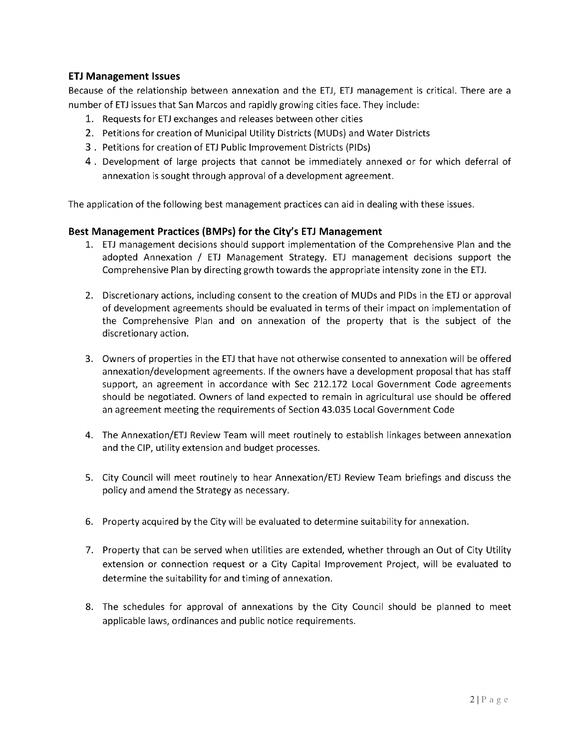### ETJ Management Issues

Because of the relationship between annexation and the ETJ, ETJ management is critical. There are a number of ETJ issues that San Marcos and rapidly growing cities face. They include:

- 1. Requests for ETJ exchanges and releases between other cities
- 2. Petitions for creation of Municipal Utility Districts ( MUDS) and Water Districts
- 3 . Petitions for creation of ETJ Public Improvement Districts ( PIDs)
- 4. Development of large projects that cannot be immediately annexed or for which deferral of annexation is sought through approval of <sup>a</sup> development agreement.

The application of the following best management practices can aid in dealing with these issues.

## Best Management Practices (BMPs) for the City's ETJ Management

- 1. ETJ management decisions should support implementation of the Comprehensive Plan and the adopted Annexation / ETJ Management Strategy. ETJ management decisions support the Comprehensive Plan by directing growth towards the appropriate intensity zone in the ETJ.
- 2. Discretionary actions, including consent to the creation of MUDS and PIDs in the ETJ or approval of development agreements should be evaluated in terms of their impact on implementation of the Comprehensive Plan and on annexation of the property that is the subject of the discretionary action.
- 3. Owners of properties in the ETJ that have not otherwise consented to annexation will be offered annexation/development agreements. If the owners have a development proposal that has staff support, an agreement in accordance with Sec 212.172 Local Government Code agreements should be negotiated. Owners of land expected to remain in agricultural use should be offered an agreement meeting the requirements of Section 43. 035 Local Government Code
- 4. The Annexation/ETJ Review Team will meet routinely to establish linkages between annexation and the CIP, utility extension and budget processes.
- 5. City Council will meet routinely to hear Annexation/ETJ Review Team briefings and discuss the policy and amend the Strategy as necessary.
- 6. Property acquired by the City will be evaluated to determine suitability for annexation.
- 7. Property that can be served when utilities are extended, whether through an Out of City Utility extension or connection request or <sup>a</sup> City Capital Improvement Project, will be evaluated to determine the suitability for and timing of annexation.
- 8. The schedules for approval of annexations by the City Council should be planned to meet applicable laws, ordinances and public notice requirements.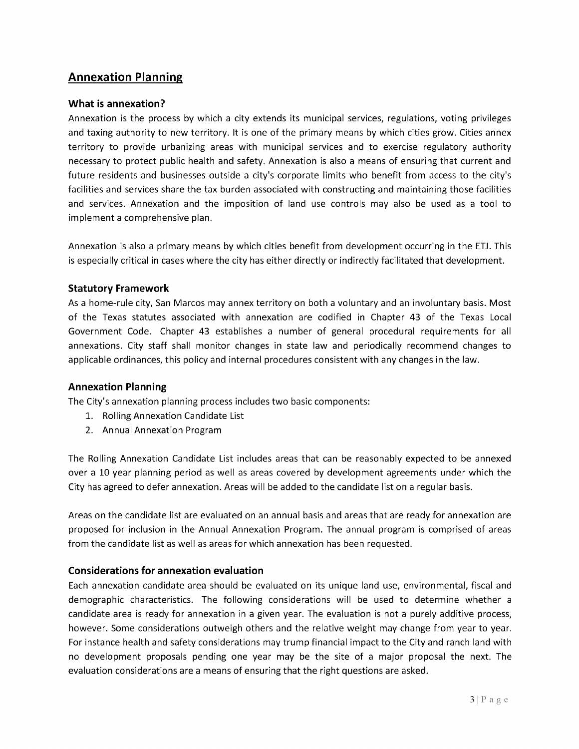## Annexation Planning

#### What is annexation?

Annexation is the process by which <sup>a</sup> city extends its municipal services, regulations, voting privileges and taxing authority to new territory. It is one of the primary means by which cities grow. Cities annex territory to provide urbanizing areas with municipal services and to exercise regulatory authority necessary to protect public health and safety. Annexation is also <sup>a</sup> means of ensuring that current and future residents and businesses outside a city's corporate limits who benefit from access to the city's facilities and services share the tax burden associated with constructing and maintaining those facilities and services. Annexation and the imposition of land use controls may also be used as <sup>a</sup> tool to implement <sup>a</sup> comprehensive plan.

Annexation is also <sup>a</sup> primary means by which cities benefit from development occurring in the ETJ. This is especially critical in cases where the city has either directly or indirectly facilitated that development.

#### Statutory Framework

As <sup>a</sup> home -rule city, San Marcos may annex territory on both <sup>a</sup> voluntary and an involuntary basis. Most of the Texas statutes associated with annexation are codified in Chapter 43 of the Texas Local Government Code. Chapter 43 establishes <sup>a</sup> number of general procedural requirements for all annexations. City staff shall monitor changes in state law and periodically recommend changes to applicable ordinances, this policy and internal procedures consistent with any changes in the law.

#### Annexation Planning

The City's annexation planning process includes two basic components:

- 1. Rolling Annexation Candidate List
- 2. Annual Annexation Program

The Rolling Annexation Candidate List includes areas that can be reasonably expected to be annexed over <sup>a</sup> 10 year planning period as well as areas covered by development agreements under which the City has agreed to defer annexation. Areas will be added to the candidate list on a regular basis.

Areas on the candidate list are evaluated on an annual basis and areas that are ready for annexation are proposed for inclusion in the Annual Annexation Program. The annual program is comprised of areas from the candidate list as well as areas for which annexation has been requested.

## Considerations for annexation evaluation

Each annexation candidate area should be evaluated on its unique land use, environmental, fiscal and demographic characteristics. The following considerations will be used to determine whether <sup>a</sup> candidate area is ready for annexation in <sup>a</sup> given year. The evaluation is not <sup>a</sup> purely additive process, however. Some considerations outweigh others and the relative weight may change from year to year. For instance health and safety considerations may trump financial impact to the City and ranch land with no development proposals pending one year may be the site of <sup>a</sup> major proposal the next. The evaluation considerations are <sup>a</sup> means of ensuring that the right questions are asked.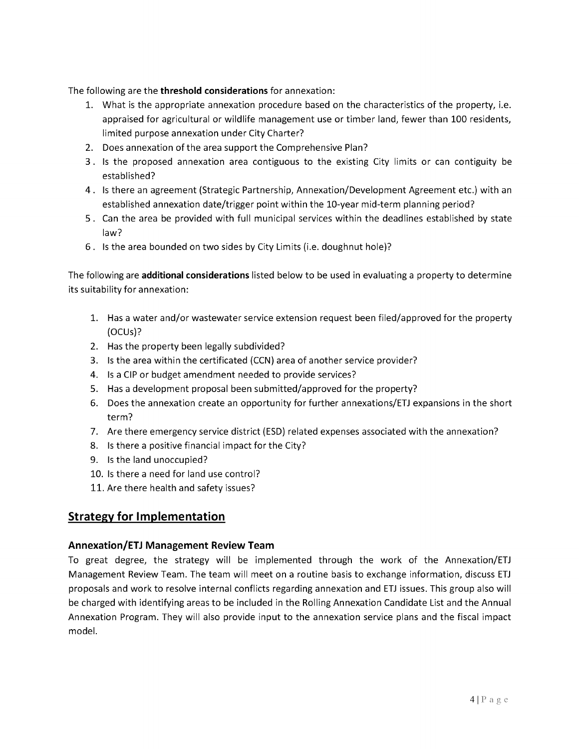The following are the threshold considerations for annexation:

- 1. What is the appropriate annexation procedure based on the characteristics of the property, i. e. appraised for agricultural or wildlife management use or timber land, fewer than 100 residents, limited purpose annexation under City Charter?
- 2. Does annexation of the area support the Comprehensive Plan?
- 3. Is the proposed annexation area contiguous to the existing City limits or can contiguity be established?
- 4. Is there an agreement (Strategic Partnership, Annexation /Development Agreement etc.) with an established annexation date/trigger point within the 10-year mid-term planning period?
- 5. Can the area be provided with full municipal services within the deadlines established by state law?
- 6. Is the area bounded on two sides by City Limits (i.e. doughnut hole)?

The following are additional considerations listed below to be used in evaluating a property to determine its suitability for annexation:

- 1. Has a water and/or wastewater service extension request been filed/approved for the property OCUs)?
- 2. Has the property been legally subdivided?
- 3. Is the area within the certificated ( CCN) area of another service provider?
- 4. Is a CIP or budget amendment needed to provide services?
- 5. Has a development proposal been submitted/approved for the property?
- 6. Does the annexation create an opportunity for further annexations/ETJ expansions in the short term?
- 7. Are there emergency service district (ESD) related expenses associated with the annexation?
- 8. Is there <sup>a</sup> positive financial impact for the City?
- 9. Is the land unoccupied?
- 10. Is there <sup>a</sup> need for land use control?
- 11. Are there health and safety issues?

## Strategy for Implementation

## Annexation /ETJ Management Review Team

To great degree, the strategy will be implemented through the work of the Annexation/ETJ Management Review Team. The team will meet on a routine basis to exchange information, discuss ETJ proposals and work to resolve internal conflicts regarding annexation and ETJ issues. This group also will be charged with identifying areas to be included in the Rolling Annexation Candidate List and the Annual Annexation Program. They will also provide input to the annexation service plans and the fiscal impact model.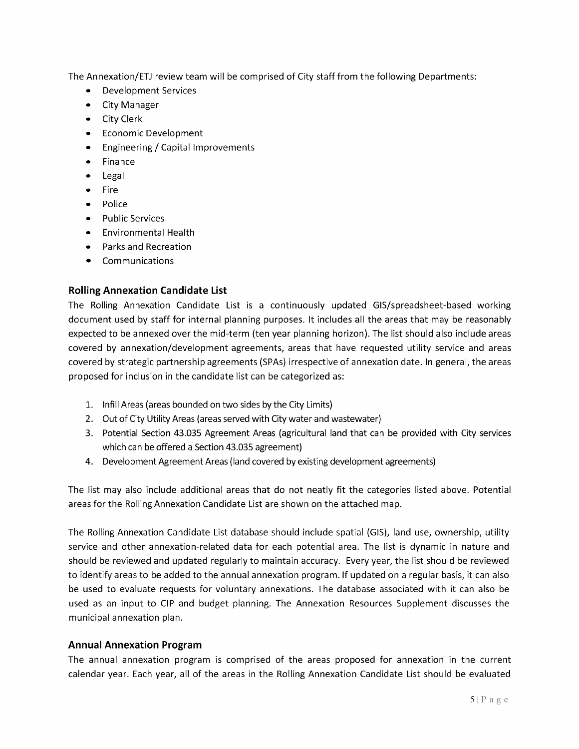The Annexation/ETJ review team will be comprised of City staff from the following Departments:

- Development Services
- City Manager
- City Clerk
- Economic Development
- Engineering / Capital Improvements
- Finance
- Legal
- Fire
- Police
- Public Services
- Environmental Health
- Parks and Recreation
- Communications

## Rolling Annexation Candidate List

The Rolling Annexation Candidate List is a continuously updated GIS/spreadsheet-based working document used by staff for internal planning purposes. It includes all the areas that may be reasonably expected to be annexed over the mid-term (ten year planning horizon). The list should also include areas covered by annexation /development agreements, areas that have requested utility service and areas covered by strategic partnership agreements (SPAS) irrespective of annexation date. In general, the areas proposed for inclusion in the candidate list can be categorized as:

- 1. Infill Areas (areas bounded on two sides by the City Limits)
- 2. Out of City Utility Areas (areas served with City water and wastewater)
- 3. Potential Section 43.035 Agreement Areas ( agricultural land that can be provided with City services which can be offered a Section 43.035 agreement)
- 4. Development Agreement Areas (land covered by existing development agreements)

The list may also include additional areas that do not neatly fit the categories listed above. Potential areas for the Rolling Annexation Candidate List are shown on the attached map.

The Rolling Annexation Candidate List database should include spatial ( GIS), land use, ownership, utility service and other annexation-related data for each potential area. The list is dynamic in nature and should be reviewed and updated regularly to maintain accuracy. Every year, the list should be reviewed to identify areas to be added to the annual annexation program. If updated on a regular basis, it can also be used to evaluate requests for voluntary annexations. The database associated with it can also be used as an input to CIP and budget planning. The Annexation Resources Supplement discusses the municipal annexation plan.

#### Annual Annexation Program

The annual annexation program is comprised of the areas proposed for annexation in the current calendar year. Each year, all of the areas in the Rolling Annexation Candidate List should be evaluated